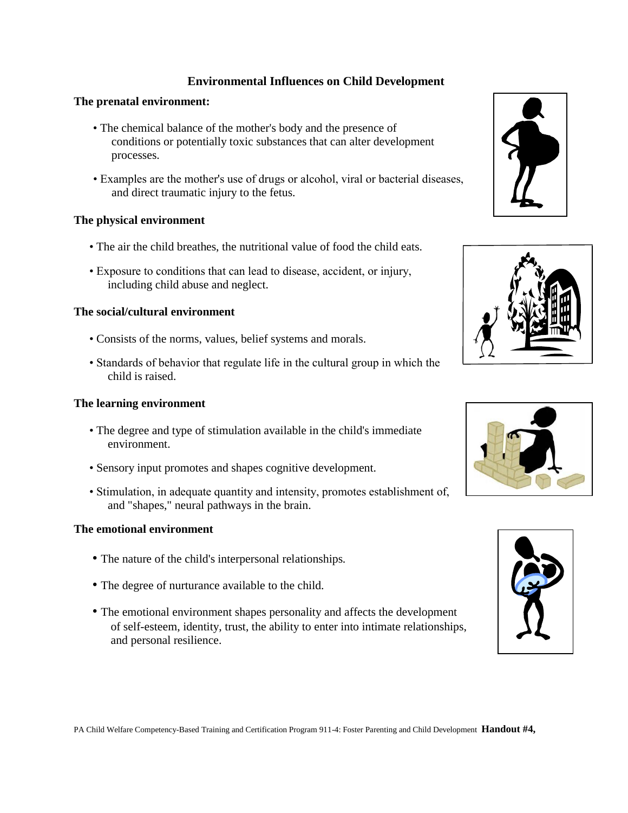# **Environmental Influences on Child Development**

## **The prenatal environment:**

- The chemical balance of the mother's body and the presence of conditions or potentially toxic substances that can alter development processes.
- Examples are the mother's use of drugs or alcohol, viral or bacterial diseases, and direct traumatic injury to the fetus.

## **The physical environment**

- The air the child breathes, the nutritional value of food the child eats.
- Exposure to conditions that can lead to disease, accident, or injury, including child abuse and neglect.

#### **The social/cultural environment**

- Consists of the norms, values, belief systems and morals.
- Standards of behavior that regulate life in the cultural group in which the child is raised.

## **The learning environment**

- The degree and type of stimulation available in the child's immediate environment.
- Sensory input promotes and shapes cognitive development.
- Stimulation, in adequate quantity and intensity, promotes establishment of, and "shapes," neural pathways in the brain.

#### **The emotional environment**

- The nature of the child's interpersonal relationships.
- The degree of nurturance available to the child.
- The emotional environment shapes personality and affects the development of self-esteem, identity, trust, the ability to enter into intimate relationships, and personal resilience.